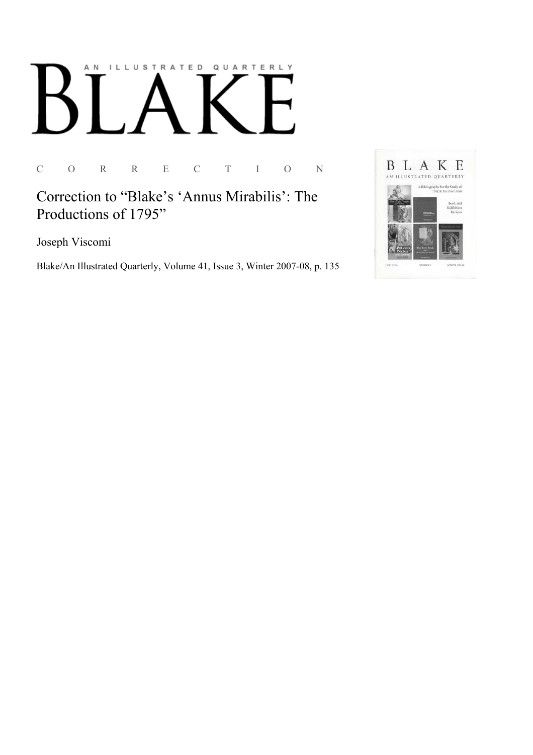# AN ILLUSTRATED QUARTERLY

C O R R E C T I O N

Correction to "Blake's 'Annus Mirabilis': The Productions of 1795"

Joseph Viscomi

Blake/An Illustrated Quarterly, Volume 41, Issue 3, Winter 2007-08, p. 135